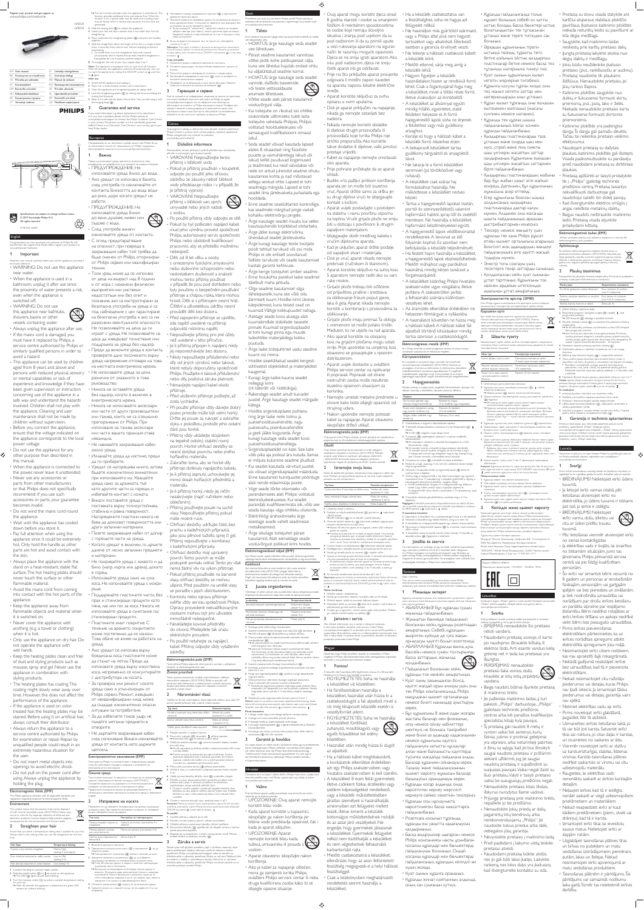EN User manual BG Puebaouchao za nomedumuu CS Prinučka pro uživatele ET Kasutusjuhend HR Korisnički priručnik HU Fehaanslói kézkönyv КК **Крыдиушының нұрқасы** LV Lietotāja rokasgrāmats PL Instrukcia obsłum RO Manual de utilizare RU Pykosojącyso nowadszyska SK Prinučka uživateľa SL Uporabniški priročnik generated. straightening. together. overheating. to again. After use HP8324 HP8333

SR Korisnički priručnik UK Посібних користувача **PHILIPS** 

 $\delta\hspace{-1.8ex}\delta\hspace{-1.8ex}\delta\hspace{-1.8ex}\delta$ 

Български

а<br>Важно



LT Vartotojo vadovas

Register your product and get support at www.philips.com/welcome

# Specifications are subject to change without notice 0 2017 Koninklijke Philips N.V. All rights reserved. 3140 035 26359

English Congratulations on your purchase, and welcome to Philips! To fully benefit from the support that Philips offers, register your product at www.philips.com/welcome. .<br>Important Read this user manual carefully before you use the appliance and keep it for future reference. • WARNING: Do not use this appliance

near water.<br>
"When the appliance is used in a<br>
"When the appliance is used in a<br>
the prosimity of water presents a risk,<br>
even when the appliance is<br>
switched off.<br>
Switchell off.<br>
The appliance is the switched this spin a

• Always unplug the appliance after use.<br>• If the mains cord is damaged, you<br>must have it replaced by Philips, a<br>service centre authorised by Philips or<br>similarly qualified persons in order to

avoid a hazard.<br>This appliance can be used by children This applance can be used by children<br>age from 8 years and above and<br>persons with reduced physical sensory<br>or mental capabilities or lack of<br>been given applicional capabilities or lack of<br>been given supervisor or instructi

children without supervision. • Before you connect the appliance, ensure that the voltage indicated on the appliance corresponds to the local power voltage.<br>To not use the appliance for any<br>other purpose than described in<br>this manual.<br>• When the appliance is connected to<br>• Never use any accessories or<br>• Newer use any accessories or<br>• Pueer use any accessories or

⊜

or that Philips does not specifically<br>recommend. If you use such<br>accessories or parts, your guarantee<br>becomes invalid.

• Do not wind the mains cord round the appliance.

• Wait until the appliance has cooled down before you store it. • Pay full attention when using the appliance since it could be extremely hot. Only hold the handle as other parts are hot and avoid contact with

the skin.<br>
• Always place the appliance with the<br>
stand on a heat-resistant, stable flat<br>
surface. The hot heating plates should<br>
never touch the surface or other

flammable material.

• Avoid the mains cord from coming into contact with the hot parts of the appliance.<br>• Keep the appliance away from<br>flammable objects and material when<br>it is switched on.

• Never cover the appliance with anything (e.g. a towel or clothing)

when it is hot. • Only use the appliance on dry hair. Do not operate the appliance with wet hands. • Keep the heating plates clean and free

of dust and styling products such as mousse, spray and gel. Never use the appliance in combination with styling products.<br>styling products.<br>The heating plates has coating.This

The heating plates has coating This<br>costing Theorem constants controlled constants are performance of the applance.<br>Here the performance of the applance.<br>The performance of the applance.<br>The transplance is used on color-<br>

TOIN VORA HE Philips e a cacterricteur c Hochstrewerts vorafis

• Do not insert metal objects into<br>• po not pull on the power cord after<br>using. Always unplug the appliance by<br>using. Always unplug the appliance by<br>holding the plug. - Prog.<br>Gelde (EME)

This Philips appliance complies with all applicable standards and resulations resurcing excours to electromagnetic fields. Environment This symbol means that this product shall not be disposed  $\mathbb{R}$ of with normal household waste (2012/19/EU). Follow your country's rules for the separate collection of electrical and electronic products. Correct disposal helps prevent negative consequences for the environment and human health. Straighten your hair Ensure that you select a temperature setting that is suitable for your hair. Abvays select a low setting when you use the straightener for the first time. +Hair Type Temperature Setting Coarse, curly, hard-to-straighten Mid to High (setting 4 and above) Fine, medium-textured or softly waved Low to Mid (setting 4-5)

Pale, blonde, bleached or color-treated Low (below 4) 1 Connect the plug to a power supply socket.<br>2 Slide the on/off switch ((3) to 1 to switch on the appliance.<br>• The LED (()) lights up and starts blinking.

 $3$  Turn the rheostat wheel  $(\overline{\chi})$  to select a suitable temperature setting for your hair. » After 60 seconds, the appliance is heated and the green LED remains on without blinking. 5 Срешете косата си и хванете кичур, не по-широк от 5 см, за

» The ion function activates when the appliance is switched on. The function provides additional shine and reduces frizz. When the function is on, a special odor may be smelt and a sizzling noise may be heard, which is normal and caused by the ions that are  $4$  Slide the closing lock  $( \bar \chi )$  to unlock the appliance 5 Comb your hair and take a section that is not wider than 5cm for 6 Place it between the straightening plates ((c) and press the handles. 7 Slide the straightener down the length of the hair in a single motion (max. 5 seconds) from root to end, without stopping to prevent • To create ficks, turn the straightener half-circle inwards (or outwards) when it reaches the hair ends. Hold the straightener in that position for 2 to 3 seconds, and then release it. 8 To straighten the rest of your hair, repeat steps 5 to 7. Note: The appliance is equipped with an auto-shut off function. After 60 minutes, the appliance switches off automatically. You can re-start the appliance by sliding the ON/OFF switch to  $\alpha$  and then 6 ©OCTABETE A MENAY KEEDABALATE DAKTANA (3) K EDITADAETE DZǽȇdzǷǵǿDzDzDZǺǭǷȇǹDZǽȀǰǭ 7 Плавете машата за изгравне надрлу по дължнита на косата с едно двоевние (макс. 5 своуци) от корените към краищата, без ДА СПИРАТЕ, ЗА ДА НЕ ПРЕГРЕТЕ КОСАТА • За да сыздадете "квишенета", завдетете машата на половен оборот навытре (или навы), когато достигне края на косата. Задръжте машата в това положение за 2 до 3 секунди и след TOBS A OTTO ORTO 8 3 да изправите останалата част от косата си, повтаряйте crames or 5 40 7. **Забележа:** Този уред е снабден с функция за автоматично изхлочване. Схад 60 минути уредат се изключва автоматично. Можете да включите отново уреда, като плавнете ключа CINICFF в положение @ и след това ∪as<br>∵Pha CARA ynorpeós 1 Изолочете уреда и изведете циповла от контакта. 2 Оставете уреда върху толлоустойчива повърхност, докато се 3 Почистете уряда и изгравящите пластини с моира кърта

1 Switch off the appliance and unplug it. 2 Place it on a heat-resistant surface until it cools down. 3 Clean the appliance and straightening plates by damp cloth. 4 Lock the straightening plates ((S) by closing the arms and sliding the closing lock forwards. 5 Keep it in a safe and dry place, free of dust. You can also hang it with the hanging loop ((k). Guarantee and service

If you need information e.g. about replacement of an attachment or if you have a problem, please visit the Philips website at www.philips.com/support or contact the Philips Customer Care Centre in your country. The phone number is in the worldwide guarantee leaflet. If there is no Consumer Care Centre in your country, go to your local Philips dealer.

, сущение<br>iте уреда близо до вода

до риск, дори когато уредът не работи.<br>• ПРЕДУПРЕЖДЕНИЕ: Не използвайте уреда близо<br>съдовани, душове, мивки или<br>• След употреба винаги<br>• изключвайте уреда от контакта. −<br>С оглед предотвратяване на опасност, при повреда в<br>захранващия кабел той трябва да<br>бъде сменен от Philips, оторизиран ажда аксентал со совора за решира<br>От Philips сервиз или квалифициран техник.<br>• Този уред може да се използва

от деца на възраст над 8 години<br>и от хора с намалени физически<br>недостатъци или умствени<br>недостатъци или без опът и<br>познания, ако са инструктирани за<br>безопасна употреба на ко са им<br>на безопасна употреба и ако са им

разяснени евентуалните опасности.<br>Не позволявайте на деца да си<br>играят с уреда. Не позволявайте на<br>деца да извършват почистване или поддръжка на уреда без надзор.<br>• Преди да включите уреда в контакта,<br>проверете дали посоченото върху уреда напрежение отговаря на това<br>на местната електрическа мрежа.

Не навивайте захранващия кабел оло уреда

ситуации за потребителя.<br>• За да избегнете токов удар, не<br>пъхайте метални предмети в

и всими действаци стандарти, свързани с излагането на BABICEDQM&THGTFH4 (45/5/4/83)449 Околна среда

Тази символ азначава, че продуктыт не може да се изхвърля заядно с обинженные битови отпадыи (2012/19/ЕС). Следвайте правилата на държавата си относно разделното ChÓIG@HE HA BARKTDINECHOTE II BARKTDOHHITE VORAK Правимото изхвдиме помага за предотвративането на ПОТВНДИМИ НЕГАТИВИ ПОСМДИЦИ ЗА ОКОЛНАТА СРАДА И ЧОВВШКОТО

№ Светодиодният индикатор (Q) светаа и заточка да мига 3 Завртете колемато на реостата (01), за да изберете подходяща настройка на температурата за вашата коса № След 60 сеннали уреалит е загрел и зеленият светодираем **VHANSTOD CRETH TOCTORHOL** • Фронцията за йонивиране се активира, когато уредьт е

2 Изправяне на косата Потокнете се да изберете температириа настройка, подходяща ха вашата коса. При гървото изголяване на мешата за изговенне ǯǵǺǭǰǵǵǴǮǵǽǭǶǿDzǺǵǾǷǭǺǭǾǿǽǻǶǷǭ Тип коса Настройка на температурата TENGAS PAADING, TDYAHI NI **Harpage** 

**SADARA** 

Некна, средно чутимка *HALE MIRKS BILLINGSTR* Светла, руса, иврусена или **бо**лдисана 1 Boxovere agencera a xovracra.

BANO GITE YORAA

zerpane.

we /EME

Средна до висока (настройка 4 и nose+e)

 $\overline{z}$ 

## Поздравяваме ви за покупката и добре дошли при Philipsi За да се выполявате изцию от предлаганата от Philips поддрынка, pervctpepalte изделито си на www.phips.com/welcome Philips, zaregistrujte svůj výrobek na stránkách www.philips.com/welcome.

 $\circledS$ 

**Zewa** 

Ūpaga/ as kendarakte ydraa tędwitete bionatrong tora<br>• indissactio sa notprentron k to satasete sa cybarka e 6‰mark<br>• ΠΡΕДУΠΡΕЖДЕНИЕ: Н@ • Ако уредът се използва в банята,<br>след употреба го изключвайте от<br>контакта. Близостта до вода води  $\begin{tabular}{l|l} \hline 1 & Dilebite interframe & \\ \hline \hline m & Dilebite interham & \\ \hline \hline m & m & m & m & m & m & m & \\ \hline \hline m & m & m & m & m & m & m & \\ \hline \hline m & m & m & m & m & m & m & \\ \hline \hline m & m & m & m & m & m & m & \\ \hline m & m & m & m & m & m & m & m & \\ \hline m & m & m & m & m & m & m & m & \\ \hline m & m & m & m & m & m & m & m & \\ \hline m & m & m & m & m & m & m & m & \\ \hline m & m & m & m & m & m & m$ 

4 Застопорете изправящите пластини ((x)), като ги затворите и ǼǸȇǴǺDzǿDzǴǭǷǸȋȄǭǸǷǭǿǭǺǭǼǽDzDZ 5 Приберете го на безопасно и сухо място без прах. Можете ǾȇȆǻDZǭǰǻǻǷǭȄǵǿDzǺǭȂǭǸǷǭǿǭǴǭǻǷǭȄǯǭǺDz ). ǐǭǽǭǺȃǵȌǵǾDzǽǯǵǴ ÃЮ DE MOKARETE OT VHÔCOMILIOS NATIONAIO SA SANPHA NA IDANCTARGA или имате проблем, посетете уеб сайта на Philips на адрес www.philips.com/support www.ce.obspierre.ktw. Ljevrspa.sa обслужавне на клиенти на Philips вы вашата страна. Телефоннит номер е посочен в международната гаранционна карта. Ако вы вашата страна няна Център за обслужавне на потребители, обърнете се към местния търговец на уреди на Philips

Gratulujeme k nákupu a vitáme Vás mezi uživateli výrobků společnosti<br>Philips! Choete-li využívat všech výhod podpory nabízené společností

• Po použití přístroj vždy odpojte ze sítě<br>• Pokud by byl poškozen napíjecí kabel,<br>musí jeho výměnu provést společnost<br>Philips, autorizovaný servis společnosti<br>Philips nebo obdobně kvalifikovaní<br>precovníci, aby se předešlo

• Děti od 8 let věku a osoby<br>
s omezenými fyzickými, smyslovými<br>
nebo duševními schopnostni nebo<br>
nedostatkem zkušeností a znalostí<br>
v nějnačě, že jsou pod dohledem nebo<br>
v přípačě, že jsou pod dohledem nebo<br>
byly použeny přístroje a chápou rizika, která mohou<br>hrozit. Děti si s přístrojem nesmí hrát.<br>Čištění a uživatelskou údržbu nesmí<br>provádět děti bez dozoru.<br>Před zapojením přístroje se ujistěte,<br>zda napětí uvedené na přístoji<br>odpovídá mí

- Nepoužíveje přístroj pro prie účely<br>
- Je-i přístroj přípojen k napísní nívády<br>
- Je-i přístroj přípojen k napísní nívády<br>
- jej neponechávejte bez dozoru<br>
- Niidy nepoužívejte příslušenství nebo<br>
- dly od jirých výrobot

• Не използвайте уреда за цели,<br>различни от указаното в това рыховодство.<br>• Никога не оставяйте уреда<br>• без надзор, когато е включен в<br>• еметрическата мрежа.<br>• Никога не използвайте аксесоари<br>• ими чакива, които не са специално<br>• препорывани от Fhlips. При препорывани от Fhlips. Пр • Při použití přístroje vždy dávejte dobrý<br>pozor, protože může být velmi horký.<br>Sržku jej pouze za rukojeť a zabrařite<br>stýku s pokožkou, protože jeho ostatní<br>části jsou horké. Přístrní vždy ukládejte stojánken

• Изчакайте уреда да изстине, преди<br>да го приберете. na tepelně odolný, stabilní rovný<br>povrch. Horké ohřívací destičky se<br>nesmí dotýkat povrchu nebo jiného<br>hořlavého materiálu.

• Zabraňte tomu, aby se horké díly<br>přístroje dotknuly napájecího kabelu. • Je-li přístroj zapnutý, uchovávejte jej<br>mimo dosah hořlavých předmětů a<br>materiálu.<br>• Je-li přístroj horký, nikdy jej ničím<br>• dezakrývejte (např. ručníkem nebo<br>oblečením).

- Уредыт се наторешива много, затова<br>19 редыт се наторешива много, затова при използването му. Хавшайте<br>19 реда само за дръжката, тъй<br>19 реда само за дръжката, тъй<br>19 и избитайте контакт с кожата.<br>19 поставката върху топ

• Přístroj používejte pouze na suché<br>vlasy. Nepoužívejte přístroj, pokud<br>máte mokré ruce.<br>• Ohřívací destičky udržujte čisté, bez<br>prachu a kadeřnických přípravků,<br>piac jsou pěnové tužidlo, sprej či gel.<br>• Přístroj nepoužív

и материали.<br>• Не покривайте уреда с каквото и да<br>било (напр. кърпа или дреха), докато<br>е горещ. • Използвайте уреда само на суха<br>коса. Не използвайте уреда с мокри povrch.Tento povrch se může<br>postupně pomalu odírat.Tento jev však<br>nemá žádný vliv na výkon přístroje.<br>• Pokud přístroj používáte na barvené

рьце.<br>• Поддържайте пластините чисти, без<br>прах и стилизиращи продукти като<br>пна дак или гел за коса. Никога не<br>използвайте уреда в съчетание със vlasy, ohřívací destičky se mohou<br>ušpinit. Před použitím na umělé vlasy<br>se poradte s jejich distributorem.<br>• Kontrolu nebo opravu přístroje Kontrolu nebo opravu pristroje<br>svěčte vždy servisu snolečnosti Philin

стилизиращи продукти.<br>• Пластините имат покритие. С<br>течение на времето покритието<br>може постепенно да се износи.<br>Това обаче не влияе на работата на Opravy provedené nekvalifikovanými<br>osobami mohou být pro uživatele<br>mimořádně nebezpečné.<br>• Nevkládejte kovové předměty<br>do otvorů. Předejdete tak úrazu elektrickým proudem<br>Po použití netahejte z

• Po použití netahejte za napájecí<br>kabel. Přístroj odpojte vždy vytažením zástrčky –<br>magnetická pole (EMP)

уреда.<br>• Ако уредът се използва върху<br>6 да станат на петна. Преди да<br>използвате уреда върху изкуствена<br>коса, непременно се консултирайте<br>с дистрибутора на косата. Tento přístroj Philips odpovídá všem platným normám a předpisům týkajícím se elektromagnetických poli Životní prostřed Tento symbol znamená, že výrobek nelze likvidovat s běžným komunalnim odpadem (2012/19/EU). Řídte se pravidly vatil

• За проверка или ремонт носете<br>уреда само в упълномощен от<br>Philips сервиз, Ремонт, извършен<br>от неквалифицирани лица, може ОТ ПОЛОВ УРИДИИ ПЛИЦИ, МОЛО<br>Да създаде изключително опасни země pro sběr elektrických a elektronických výrobků Správnou Bordací pomůžete předejit negativním dopadům na životní  $\overline{\text{Narc}}$ n<br>návání vlasů Ujistilite se, že jste zvolili teplotu, která odpovídá vašemu typu vlasů. Při prvním použití přístroje vždy vyberte nízkou teplotu

Typ vlasú **1999 – Nastavení teplot**y Hrubé a kudmaté vlasy, které jdou těžko narovnat Střední až vysoké (nastaven) 4 a vyfå) jemné, středně nebo lehce zviněné Nizké až střech (nastavení 4-5) Světlé, plavé, zesvětlené nebo barvené Nizké (pod 4)

отворите<br>• Не дърпайте захранващия кабел<br>уреда от контакта, като държите<br>щепсела. 1 Přípojte zástriču k napájecí zásuvce.<br>2 Posunután vypírače (O) do polohy I přístroj zaprete.<br>• Kontrolka LED (O) se roznatí a začne blikat. 3 Citičenim kolečka recetatu (IX) wberte nastavení teoloty vhodné SYD valle vlasv + Po 60 sekundach ie přístroi zahřátý a zelená kontrolka LED trvale sylti bez blikáni + Funkce ionizace je aktivována po zapnutí přístroje. Funkce

> poskytuje dodatečný lesk a redukuje zacuchání, je-li funkce zaprutá, můžete cítt zvláštní vůni a slyšet praskání. Jedná se normální jev, způsobený generovanými ionty 4 Přesunutím zaviracho zámku (Q) přístroj odemkněte 5 Učette si vlasy a k narovnávání si připravte pramen tiroloj nejvýše 6 Violte ini mezi destičky žehličky vlas) (O) a stolovlte rukoleti m po délce směrem dolů (max. 5 sekund) od kořínků ke konečkům; nepřestávejte, abyste zabránii přehřátí vlasů • Choete-i vytvořit vytačení, vytočte při dosažení komečků vlasů

žehkõkou na vlasy pülknuh smilinem dovnitř (nebo ven). Podržte<br>žehkõku na vlasy v této poloze po dobu 2 až 3 sekund. Pak ji wolnitte 8 Choete-li narovnat zbývající vlasy, opakujte kroky S až 7. Poznámka: Přístroj je vybaven funkcí automatického vyprutí. Po 60 minutách w přistroj automaticky vypne. Přistroj bis znovu spustit posunutím přepínače<br>ON/OFF do polohy  $\bigcirc$  a poté opět do polohy  $\;$  ].

Po použiti 1 Vypněte přístroj a odpojte jej ze sbě. 2 Položte ji na žáruvzdorný povrch, dokud nevychladne 3 Clóstite přistroj a rarovnávací destičky vlhkým hadříkem 4 Narovnávací destičky ((S) zajstěte tak, že sklopite ramena a zavirací zámek posunete dopředu. 5 Skladuite ini na bezpečném, suchém a bezprašném místě. Přístrpi

müžete závlat za závlanou smyöu (④)<br>3. Záruka a servis Poloud byste měli jakýkoliv problém (např. s výměnou nástavce) nebo Sekud perthibujete niliakou informaci, navitivte webovou stránku společnosti Philips www.philips.com/support nebo se obratte na st/Wdska péče o zácaznky společnosti Philips ve vatí zemi. Telefonní čislo je uvedeno v letáčku s celosvětovou zárukou. Pokud se ve valí zemí středisko péče o zákazníky společnosti Philips nerachází, obratte se na mistriha prodejce výrobků Philips

включен. Функцията дава доглинителен бляськ и намалява начупването. Когато функцията е включена, може да се усети специфична миризма и да се чув свирещ щум, което е нормално и се дължи на произвежданите йони. 4 Плавнете заключалата ())) надолу, за да отключите уреда

Onnideme ostu puhul ja tervitame Philipsi poolt! Philipsi pakutava. tootetoe eeliste täielikuks kasutamiseks registreerige oma toode saidil www.philips.com/welcome.<br>1 Tähtis

Enne seadme kasutamist lugege seda kasutusjuhendit hoolkalt ja hoidke<br>\* HOIATUS: ärge kasutage seda seadet vee lähedu<br>Pärast seer

• Pärast seadme kasutamist vannitoas<br>võtke pistik kohe pistikupesast välja,<br>kuna vee lähedus kujutab endast ohtu<br>ka väljalülitatud seadme korral.

• HOIATUS: ärge kasutage seda seadet<br>vannide, dusside, basseinide või teiste vettsisaldavate anumate läheduses.

• Võtke seade alati pärast kasutamist<br>• vooluvõrgust välja.<br>• Kui toitejuhe on rikutud, siis ohtlike<br>• olukordade välimiseks tuleb lasta<br>• toikordade välimiseks tuleb lasta<br>• volitatud hoolduskeskuses või<br>• siiniskul.<br>• si

• Seda seadet võivad kasutada lapsed<br>
altates 8. eluaastat ning füüsiliste<br>
puuete ja vaimuhäiretega isikud või<br>
isikud, kellel puuduvad kogemused<br>
ja teadmised, kui neid valvatakse või<br>
niele on antud juhendid seadme ohut kasutamise kohta ja nad mõistavad<br>sellega seotud ohte. Lapsed ei tohi<br>seadmega mängida. Lapsed ei tohi<br>seadet ilma järelevalveta puhastada ega hooldada.

•<br>Inne seadme sisselülitamist kont

kas seadmele märgitud pinge vastab<br>kohaliku elektrivõrgu pingele.<br>• Ärge kasutage seadet muuks, kui selles<br>kasutusjuhendis kirjeldatud otstarbeks. • Ärge jätke kunagi elektrivõrku<br>ühendatud seadet järelevalveta.

• Ärge kunagi kasutage teiste tootjate<br>poolt tehtud tarvikuid või osi, mida<br>Philips ei ole eriliselt soovitanud.<br>Selliste tarvikute või osade kasutamisel<br>kaotab garantii kehtivuse.

- Ärge kerige totiejuhet ümber seadme.<br>Tempe houkohta panekut laske seadme.<br>tärelisult maha jahtuda.<br>Tolge seadme kasutamisel väga<br>tärelepanelik, kuna see võib olla<br>äärmiselt kuum a. Honi üldne kiimi üldnes<br>Karjadenest, ku

puutuda.<br>• Ārge laske toitejuhtmel vastu seadme<br>kuumi osi minna.<br>• Holdke sisselühtatud seadet kergesti<br>• sütüvatest objektidest ja materjalidest kaugemal. • Kunagi ärge katke kuuma seadet

millegagi kinni<br>(nt käteräti või riidetükiga).

• Rakendage seadet ainult kuivadel<br>juustel. Ärge kasutage seadet märgade kätega. • Hoidke sirgendusplaate puhtana

ning ärge laske nele tolmu ja<br>
juuksehooldusvahendite, nagu<br>
juuksehooldusvahendite, nagu<br>
ja geeli jääke koguneda. Ärge<br>
kunagi kautage seda seadet koos<br>
juuksehooldusvahenditega.<br>
Signedusplaatidel on kate. See kate<br>
või

• Viige seade tõrke otsimiseks või parandamiseks alati Philipsi volitatud teeninduskeskusesse. Kui seadet

parandab kvalifitseerimata isik, võib se

seada kasutaja väga ohtlikku olukorda.<br>• Elektrilöögi ärahoidmiseks ärge<br>• sisestage avade vahelt seadmesse<br>• metallesemeid.<br>• Årge sikutage totiejuhet pärast<br>• Årge sikutage totiejuhet pärast<br>• kasutamist. Alati eemaldage amist. Alati eemaldage seade<br>.võrgust pistikust kinni hoide:

-<br>tilised väliad (FMF) See Philipsi seade vastab kõikidele kokkupuudet elektromagnetiliste ylliadera käritleystele kohaldatayatele standarditele ja õisusnormidele Keskkond

See sümbol tähendab, et seda toodet ei tohi visata tavaliste  $\chi$ olmejäätmete huka (2012/19/EL), järgige elektriiste ja elektrooniiste toodete lahuskogumse kohalikke eeskirju. Õigel viisil kasutusest kõrvaldamine aitab ära hoida võimalikke kahjulidos tagajārgi keskkonnale ja inimese tervisele. Juuste sirgendamine

Veenduge, et olete valrud orna juustetüübile sobiva temperatuuriseade. Sirgestaja esmakasutarrisel valige alati madal temperatuuriseade luuksetüüp Temperatuuriseade Jämedad, käharad, raskestisirgestatavad Keskmisest kõrgeni (seach 4 is die selle)

Peenikesed, keskmise tihedusega või pehmed lainelised Madalast keskmiseni (seade 4-5) Kahvatud, blondid, blondeeritud või värvitud Madal (alla 4)

1 Sisestage pistik elektrivõrgu seinakontakti. 2 Seadme sisselühtarriseks libistage sisse-välja lüfti ( $\langle \cdot \rangle$ ) asendisse  $\;$  1. \*\* LED-märgutuli (3) läheb põlema ja hakkab vilkuma 3 Oma juustele sobiva temperatuuriseade valmiseks keerake reostaadiketast ((2)  $\leftrightarrow$  60 sekundi pärast on seade kuumenenud ja põlema jääb roheline LED-märgutuli ilma vilkumata. » Iconivoo funktsioon hakkab seadme sisselüitamisel tööle. See funktsioon annab täiendavat läiget ning vähendab juuste

sassiminekut. Kui funktsioon on sisse lülitatud, võite tunda iseäralikku lõhna ning kuulda sisisevat häält. See on tavaline nähtus ning seda põhjustavad toodetavad ioonid 4 Seadme vabastamiseks libistage lukustusklambrit (10). 5 Kammige juuksed ja eraldage sirgendamiseks juuksesak, mis pole laiem kui 5 cm. 6 Pange see sirgestamisplaatide ((5) vahele ja suruge käepidemed  $\underline{\mathbb{R}}$ tugevasti kokku. 7 Uleksumenemise vältimiseks libistage singestajat peatumata<br>(max 5 sekundit) põi juukseid juurtest juukseotsteni.

• Püstsakude tegemiseks pöörake sirgendaja poole pöörde võrra sissepoole (või väljapoole) kuni see puudutab juukseotsi. Hoidke sirgendajat samas asendis 2-3 sekundit ja seejärel vabastage 8 Ulejäärud juuste sirgendamiseks korrake samme 5 kuni 7 Mirkux wade on varustatud automaatse välalültamisfunktsiooniga Seade IQItub 60 minuti pärast automaatselt välja Seadme saab uuesti sisse IQItada, Ibistades sine-välja lüiti asendine  $\mathbf Q$  ja seejärel uuesti asendine  $\mathbf I$ . Pärast kasutamist

1 Lüftare seade välja ja eerraklare toiteishe seinakontaktist 2 Asetage see kuumusekindlale pinnale jahtuma 3 Puhastage seade ja sirgestusplaadid niiske lapiga 4 Lukustage sirgestusplaadid (())), sulgedes käepiderned ja libistades. lukustusklambrit. 5 Holustage see chutus ja kuivas tolmuvabas kohas. Selle võite ka riputusassa ((§) abil üles riputada

 $\overline{G}$ ar Ku vajate teavet, nt mõne tarvku vahetamse kohta aga ka probleemide korral, külastage palun Philipsi veebisati www.philips.com/support või võtke ühendust oma nigi Philipsi klienditeeninduskeskusega.<br>Telefoninumbni leiate ülemaailmselt garantiilehelt. Kui teie nigis ei<br>ole klienditeeninduskeskust, pöörduge Philipsi toodete kohaliku

müügesindaja poole Hrvatski

Čestitarno vam na kupnji i dobro dolli u Philips! Kako biste u potpunosti iskoristili podršku koju nudi Philips, registrinate svoj uređaj na adresi www.philips.com/welcome. Važno

Prije kontitenja aparata pažljivo pročitajte ovaj konistički priručnik i<br>spremite ga za buduće potrebe.<br>• UPOZORENJE: Ovaj aparati nemnojite koristiti blizu vode. • Kada aparat koristite u kupaonici,

iskopčajte ga nakon korištenja jer<br>blizina vode predstavlja opasnost, čak i<br>kada je aparat isključen.<br>• UPOZORENJE: Aparat<br>nemojte koristiti blizu kada,

nemojte koristiti blizu kada,<br>tuševa, umivaonika ili posuda s

vodom.<br>• Aparat obavezno iskopčajte nakon<br>• Ako je kabel za napajanje oštećen,<br>• Ako je kabel za napajanje oštećen,<br>• ovlašteni Philips servisni centar ili neka<br>• druga kvalificirana osoba kako bi se<br>• izbjegle opasne situ

feszültséggel,<br>• Csak a kézikönyvben meghatározott<br>rendeltetés szerint használja a<br>készüléket.

• Ovaj aparat mogu koristiti djeca iznad<br>Bigodina starosti i osobe sa smanjenim fizičkim ili mentalnim sposobnostima<br>te osobe koje nemaju dovoljno<br>iskustva i znanja, pod uvjetom da su<br>pod nadzorom ili da su primili upute u vezi rukovanja aparatom na siguran<br>Djeca se ne smiju i grati aparatom. Ako<br>Djeca se ne smiju igrafi aparatom.<br>nisu pod nadzorom, djeca ne smiju<br>čistiti aparat niti ga održavati. • 3000 med med gå den armen.<br>• Prije no što priključite aparat provjeni

Ô

• Ha a készülék csatlakoztatva van<br>• a feszültséghez, soha ne hagyja azt<br>• Ne használjon más gyártótól származó, vagy a Philips által jóvá nem hagyott<br>tartozékot vagy alkatrészt. Ellenkező<br>esetben a garancia érvényét veszti. • Ne tekerje a hálózati csatlakozó kábelt<br>a készülék köré. • Mielőtt eltenné, várja meg, amíg a<br>készülék lehűl. • Nagyon figyeljen a készülék<br>használatakor, hiszen az rendkívül forró<br>lehet. Csak a fogantyújánál fogja meg<br>a készüléket, mivel a többi része forró, • Құралды пайдаланғанда толық<br>мұқият болыныз, себебі ол қатты<br>ыстың болады. Басқа бөліктері ыстық<br>болатындықтан теріге тигізуден сақ<br>ұстаңыз және теріге тигізуден сақ болыңыз.<br>• Әрқашан құрылғының тірегін ыстыққа төзімді, тұрақты, тегіс<br>бетке қойыңыз. Ыстық қыздырғыш<br>тұтанғыш материалға тимеуі тиіс. • Қуат сымын құрылғының қызып<br>кететін жерлеріне тигізбеңіз.

• Prietaisą su stovu visada statykite ant<br>karščiu atsparaus stabilaus plokščio<br>paviršiaus įkaitusios kaitinimo plokštės<br>niekada neturėtų liestis su paviršiumi ar<br>kita degia medžiaga.<br>5 sugolote, kad maitinimo laidas<br>nesili

• Jjungtą prietaisą laikykite atokiai nuo<br>degių daiktų ir medžiagų. • Jokiu būdu neuždenkite įkaitusio<br>prietaiso (pvz., rankšluosčiu ar audiniu).<br>• Prietaisą naudokite tik plaukams<br>išdžiūvus. Nenaudokite prietaiso, jei isuziuvus, i veriauuu<br>Tüsu rankos šlapios.

• Kaitinimo plokštes saugokite nuo<br>dulkių ir šukuosenai formuoti skirtų<br>priemonių, pvz., putų, lako ir želės.<br>Niekada nenaudokite prietaiso kartu<br>su šukuosenai formuoti skirtomis

priemonėmis.<br>• Kaitinimo plokštės yra padengtos<br>danga. Ši danga gali pamažu dėvėtis.<br>Tačiau tai nekenkia prietaiso veikimo<br>efektyvumui. elektyvarna.<br>Naudojant prietaisą su dažytais<br>plaukais, kaitinimo plokštės gali išsitec plaukais, kaitinimo plokštės gali išsitepti.<br>Visada pasikonsultuokite su pardavėju<br>plaukais.<br>plaukais.<br>• Prietaisą apžiūrėti ar taisyti pristatykite<br>• Rietaisą apžiūrėti ar taisyti pristatykite<br>priežiūros centrą. Prietaisą

nekvalifikuoti darbuotojai gali<br>naudotojui sukėlti itin didelį pavojų.<br>• Kad išvergtumėte elektros smūgio, į<br>• angas nekiškite metalinių daiktų.<br>• Baigus naudoti, neištraukite maitinimo<br>prilaikydami kištuką.<br>prilaikydami k

Printing Currin NortchNet.<br>Elektromagnetiniai laukai (EMF) "Philips" prietaisas atitinka visus takomus standartus ir normas dėl elektromagnetinių laukų poveikio Aplinkosaug: Ša simbolis reiškia, kad gaminio negalima išmesti kartu su grantoms buitinėms atliekoms (2012/19/ES). Lakykitės jūsų šabie rašpiančiu tainėšiu kuriomis reglamentuojamas atskiras elektros ir elektronikos gaminių surinkimas. Tinkamai išmetus galma ruo neigamo povekio apsaugoti aplinką ir žmonių

Plaukų tiesinimas Nustatvidte iūsu plaukams tinkama temperatūra. Pirma karta naudodami prietajas, visada pasirinkote žemiausius nustatomu Plaukų tipas Temperatūros nustatymas Surklität, garbanoti, surkiai ilbesinami Nuo vidutinės ki aukštos (nuo 4 nustatymo)

Sveinūs, vidutinės tekstūros ar smulkia

temperatüra

X

tiesinimui.

j atlendote

Po naudojimo 1 prietaisą iljunkite ir atjunkite nuo matinimo tinklo 2 Padēkite jį art karščiui atsparaus paviršiaus, kol jis atvėr 3 Prietasa ir besinimo žnyples valykde drėgna šluoste 4 Užškauolote tiesinimo plokšteles (IS), uždarydami rankenėles, o užnaktą pasinkdami į priekį.

Blyškůs, šviesks, švieskti ar dažyti 2ema (ki 4 1 Jielšide kiltuką į matinimo lieda 2 Pastumidte jungmo / iljungmo jungkā (03) j padētį [ , kad jungturnitie prietasą \*\* LED lemputé ((x)) užsidega ir pradeda mirksēt 3 Pasukite recetato ratuką ((3)) ir nustatykėte jūsų plaukams tinkamą

% Po 60 sekundžių prietaisas yra kaitinamas, o žalia LED lemputė Ieka jungta, bet nemirks \*\* Jonu funkcija bus aktyvuota, kai jungsite prietaisą. Ši funkcija suteikia plaukams blizgesio ir surražina plaukų įsielektrinimą Ka funkcija jungta, galte pajusti tam tikrą kvapą arba spragatimą. Šis kvapas ir garsas atsiranda dėl jonizacijos - tai normalu 4 Norédami atrakinti prietaisą paslinkite užraktą (S) 5 Sultakuokite plaukus ir atskirkite ne platesnę nei 5 cm sruoga

6 [dékite ja tarp tiesmimo žnyplių (4)) ir suspauskite rankenas 7 Vieru judesiu plaukų tiesinimo įtaisu braukite žemyn (maks. 5 sekundes) nuo šakrų iki galukų ir nesustokite, kad plaukai nenudegtų · Noredami sumodeliuoti sruogas, pasukite tiesintoją pusę apsisulomo į vidų (arba į išorę), kai pasieksite plaukų galiukus. Palakylote tiesinimo įtaisą toje pačioje padėtyje 2-3 sekundes, tada

8 Noredami iltiesinti likusius plaukus, pakartokite veiksmus nuo 5 iki i **Pastaba**: aparate įdiegta automatinio iljungimo funkcija. Po 60 minučių<br>prietaisas ilisijungia automatiškai. Prietaisą galima iš naujo įjungti, pastumiant<br>jjungimo / ilijungimo įungikiį į padėtį **O**, o po to vėl į padėtį

Apsveicam ar pirkumu un laipni lüdzam Philips! Lai pilnībā gūtu labumu no Philips piedävätä atbalsta, registrējiet savu izstrādājumu www.philips.com/welcome. .<br>Svarīgi

Perms ientem izmantošanas uzmanīgi izlasiet to lietošanas instrukciju un<br>saglabājiet to, lai vajadzības gadļumā varētu ieskatībes tajā arī turpmāk.<br>• BRĪDINĀJUMS! Nelietojiet ierīci ūdens tuvumā.<br>• Ja lietojat ierīci vannas istabā, pēc lietošanas atvienojiet ierīci no<br>elektrotīkla, jo ūdens tuvums ir bīstams<br>pat tad, ja ierīce ir izslēgta.<br>• BRĪDINĀJUMS! Nelietojiet ierīci vannu, dušu, izlietņu vai<br>citu ar ūdeni pildītu trauku WXYXPü · Pēc lietošanas vienmēr atvie no sienas kontaktligzdas.<br>• Ja elektrības vads ir bojāts, lai izvairītos<br>no bīstamām situācijām, jums tas<br>iānomaina Philips pilnvarotā servisa janomania miliips piirivarota sei<br>centrā vai pie līdzīgi kvalificētan personām,<br>• Šo ierīci var izmantot bērni vecumā no<br>8 gadiem un personas ar ierobežotām<br>fiziskajām, sensorajām vai garīgajām<br>spējām vai bez pieredzes un zināšanām,

 $\circledS$ 

ja tiek nodrošināta uzraudzība vai<br>norādījumi par drošu ierīces lietošanu<br>un panākta izpratne par iespējamo<br>bīstamību. Bērni nedrīkst rotaļāties ar ierīci, lerīces tīrīšanu un apkopi nedrīkst<br>veikt bērni bez pieaugušo uzraudzības.

- Pirms ierīces pievienošanas, ka uz<br>elektrotīklam pārliecinieties, ka uz<br>elektrotīklas piegumas atbilst<br>elektrotīkla spriegumam jūsu mājā.<br>Neizmantojiet ierīci citiem nolūkiem,<br>kas nav aprakstīti šajā rokasgrāmatā.<br>Nekādā

eieku ousiam.<br>Nekad neizmantojiet citu ražotāji<br>piederumus vai detaļas, kuras Phil

piederumus vai detaļas, kuras Philips<br>nav īpaši ietiecis, ja izmantojat šādus<br>piederumus vai detaļas, garantija vairs<br>nav spēkā.<br>"Netiniet elektrības vadu ap ierīci.<br>"Netiniet elektrības vadu ap ierīci.<br>pagaidet, līciz tā

Uzunametes ientes ietusanas iaika, tikai aiz roktura, jo citas daļas ir karstas,<br>• Wenmēr novietojiet ierīci ar statu.<br>• Vienmēr novietojiet ierīci ar statīvu<br>• Wenmēr novietorijas, stabilas, līdzenas<br>• virsmas. Karstās taisnošanas plātnes nedrīkst saskarties ar virsmu vai citu<br>uzliesmojošu materiālu. • Raugieties, lai elektrības vads<br>nenonāktu saskarē ar ierīces karstajām detajām.<br>Getajām.<br>Nelaujiet ierīcei kad tā ir ieclēdt:

- Nelaujiet iericei, kad tā ir ieslēga,<br>nonākt saskarē ar viegli uzliesmojošiem<br>priekšmetiem un materiāliem,<br>Nekad neapsedziet ierici ar kaut<br>kadem priekšmetiem (piem, dvieli vai<br>drāniņu), kad tā ir karsta.<br>- Izmantojiet i

• Uzglabājiet taisnošanas plātnes tīras<br>un brīvas no putekļiem un matu

veidošanas izstrādājumiem, piemēram, puražmu, putām, lakas un želejas, Nekad<br>nezarantojiet ierīci apvienojumā ar<br>matu veidošanas produktiem.<br>Taisnošanas plātnēm ir pārklājums. Šis<br>- Taisnošanas plātnēm ir pārklājums. Šis<br>l

no<br>aoje vietoje, kurioje nėra dulkių. Taip į galte ji lakyti pakabine už pakabinimo kilpos (@)<br>3 Garantija ir techninis aptarnavima: Primeleus informacijos, pvz., dėl priedo paleetimo arba jei turite<br>problemų, apsilankykite "Philips" tinklapyje adresu www.philips.com/support arba kreipkités j "Philips" klienty aptarravimo centrą savo šalye. Telefono numerį raste visame pasaulyje galojančios wrantica lankstinuke, lei iūsu falvie nėra klientu aptamavimo centrol kreiplotės į vietinį "Philips" platintoja Latviešt

Nuo žemos ilo vidutinės (nuo 4 iki 5 nustatymo)

X

VYHLNDWĀ

• Құрылғы қосулы тұрған кезде, оны<br>тер жанып кететін заттар мен<br>материалдардан алыс ұстаныз<br>күрал қызып тұрғанда, оны ешқашан<br>сұлтімен немесе матамен).

- Қыздырғыш пластиналарды таза<br>- құсқанда және оларда шаң мен<br>- мусс, спрей және гель сияқты<br>- шаш үлілерін жасайтын заттар<br>- қалдырманыз Құрылғын заттармен<br>- Қыздырғыш пласайтын заттармен<br>- Қыздырғыш пласайтызададың жабы

ескіреді. Дегенмен, бұл құрылғының<br>жұмысына әсер етпейді.

- Егер құрылғыны болиған шашқа<br>колдансаныз, қыздырғыш<br>мүмкін, Алдымен оны жасанды<br>мүмкін, Алдымен оны жасанды<br>шашта пайдаданыназ, арқашан<br>дистрибьютормен кенесініз,<br>«түрелды тек қана Риllips руксат<br>куралды тек қана Риllip

• Электр тогы соқпауы үшін, тесіктерге темір заттарды салмаңыз • Қолданғаннан кейін қуат сымынан<br>ұстап тартпаңыз. Құрылғыны ток көзінен әрдайым штепсельдік<br>ашасынан ұстап ажыратыңыз. м<br>ектромагниттік өрістер (ЭМӨ) Осы Рhips құралы электронагниттік ерістерге қатысты барлы» ʘǻǸDZǭǺȈǾǿǭʖȈǾǿǭǺDZǭǽǿǿǭǽǹDzǺDzǽDzdzDzǸDzǽǰDzǾʣǶǷDzǾǷDzǸDzDZȒ Коршаған орта <u>Бул танба осн енный кальктты турмыстык калькузен</u> тастауға болмайтынын білдіреді (2012/19/EU). Электр жане электрондық енкидердің қалдықтарын белек жина) женіндегі елініздің ережелерін сақтаныз. Қоңырқа дұрыс тастау коршаган ортага және адан денсаульпына тиетэ менам всерчедов влам влуга квинествова<br>2 Шашты түзету Шашаевадан түріне сайовс келетін температуранан таңдаманан тексернія. Шаш туаткадті алғаш газіддланғанда, ардайым ең темен

температураны таңданы Шац турі Пемпература параметр ʗǭǿǿȈǮʞǶǽǭǿʜǴDzǿȀȒʘǵȈǺ ǛǽǿǭȅǭDZǭǺdzǻʖǭǽʖȈʖǭDZDzǶȒǺ  $4$  Dozen DAZH DEDZZA TEDZANTO

Жұмсақ орташа қалындықты HEMICR SOMERS TO MAHAL

1 Штепсельдік ұшты розеткаға қосыныз

% 60 своундтви кв8н курал кызыт, жасыл жарык диоды sometratek rypacte scent rypau-« № Куралды кросинда, иондау функциясы да юке косылады. Бул функция шваты жылтыратып, шатасудан сақтайды. Функция хосулы тұрғанда, ерекше бір ис және ысылдаған дыбыс шығуы мүмкін. Бұл — түвип жатқан исниви болатын қалыпты 4 KIDZANA WATEN AUY VARK NAŠETIN KINISTE (IX) GIDTIETING 5 Шашеризды тарап, қаландағы 5 сантинетрден аспайтын шаш ǮȀǹǭǾȈǺǭǸȈǼǿʜǴDzǿDzǮǭǾǿǭʚȈǴ 6 Шашты тулету тасташаларының (3) арасына салып, саптарын 7 Шаш туэвтошті шаштың бойымен түбірінен бастап төмен қарай Офодмитты краталистен (ең кебі 5 секунд) тоқтатпастан (шашты хуйдрл хобермеу ушн) түсрэн • bypavay yuiv, usu тунткиті швитьн ушьна дейн атарыт, жарты шенбер шке (немесе сыртқа) қарай бұраңыз. Шаш туветных сол қалтында 2-3 свонд ұстап тұрғаннан кейн, оны

8 Каман шваты тувету ушн, 5 пен 7 арасындагы кадандарды

4 Тулету тасташаларын культтау үшін (03), тұтқаларын қысып, ʘʞǸǼȈǺǭǸDZȈʖǭʘǭǽǭǶǾȈǽʖȈǿȈʚȈǴ 5 Куралды шаңы жок, кургақ жане қауіпсіз жерде сақтаңыз. Оны inveriven (5) ikin kolora aa болады

Кромиш хуралы аумстыру сиясты кандай да бір актарат игрек болса немесе маселе гайда болса, Philips компаниясының www.philps.com/support веб-торабыча криез немесе ез ельскиго Philips тутымущилата колдау кесситу орталымын хабарларыныз. Темефон немірін дунив жүжік кетілдік кітапшасынан табуға болады. <u>Ёгер елизде тұтынушыларға қолдау көрсету орталығы болмаса,</u> снда жергілісті Рhilips компаниясының димеріне барыныз Турмыстых крееттичетерге арнама Өндіруші: "Филипс Конськимр Лайфстайл Б.В.", Тусов-дивлен 4 9206 АД, Драктен, Нидерланды. Кытайда жасалган Ресей және Кедендік Одақ территориясына инпорттаушы <sup>-</sup> "ΦΙΛΙΛΙ Π. Σ. ΧΙ.Ι.Κ., Ρεσελ Φεμεριωνιου, 123022 Μεσαγ κανασιο Ceprek Maxees xeuseci, 13-yk, тел. +7 495 961-1111 Mouevic HP8324, HP8333 Howeveway repairmance: 110-240V~ 50-60Hz 49VV

Svekinarne jugius "Philps" gaminį ir sveiki atsyką! Nontdami pasinaudoti "Philps" süloma pagaba, užregistruolote savo gaminį adresu www.philips.com/welcome<br>1 Svarbu

Print praditelari nuudot priestau ateištu perskalpiste šį vartotojo<br>vadovų ir suspilde į remi jo pali priestai antijos.<br>• [SPĒJIMAS: nenaudokite šio prietaiso<br>• netoli vandens. • Naudodami prietaisą vonioje, iš karto<br>po naudojimo ištraukite kištuką iš<br>elektros lizdo. Arti esantis vanduo kelią<br>grėsmę net ir tada, kai prietaisas yra .<br>Išjungtas.<br>PERSPĖJIMAS: nenaudokite • PERSPĖJIMAS: nenaudokite<br>prietaiso šalia vonios, dušo,<br>kriauklės ar kitų indų, pripildytų<br>vandens. • Baigę naudoti, būtinai išjunkite prietaisą<br>iš maitinimo tinklo.

- Jei pažeista matinimo laidas, ji turi<br>paleisti "Philips" darbuotojai, "Philips"<br>geriotas stechninės priežūros<br>geriotas arba kiri panašos kvalifikacijos<br>specialistai, kitaip kyla pavojus.<br>"Si prietaisų gali naudoti 8 metų

siekiant užtikrinti, jog jie saugiai<br>susijusiais pavojais. Vaikai negali<br>susijusiais pavojais. Vaikai negali<br>šuo prietaisu. Valyti ir taisyti prietaiso<br>vaikai be suaugusiųjų priežiūros negali. • Nenaudokite prietaiso kitais tikslais,<br>išskyrus nurodytus šiame vadove. Prijungę prietaisą prie maitinimo tinl<br>nepalikite io be priežiūros.

nepaläkie jo be priežiuros<br>• Nenaudokite jokių priedų ar dalių, pagamintų kitų bendrovių arba<br>• nerekomentuojamų "Philips", lei<br>naudosite tokius priedika arba dalis, nebegalios jūsų garantija.<br>• Nengalios jūsų garantija.<br>•

• Naudodami prietaisą būkite atidūs,<br>nes jis gali būti labai įkaitęs. Laikykite rankeną, nes kitos dalys yra įkaitusios,<br>kad išvengtumėte kontakto su oda.

Met kobcet

**Еснартна** Ngрымыда автоматты түрдө өшу функциясы бар. 60 минуттан<br>ияйы курал автоматты түрдө өшөді. КОСУ/ЮШРУ сыргыттасын ● жане Kapak ouprumum kypuwane kakta lore kooyra Soraau Пайдаланганнан кейи 1 **Kyoanay** equipin, not respire anyonament 2 Оны абден сумпанда ыстыруд техниді бетке қойыны 3 Куралды және түзөту тақташаларын дымқыл шүберектен

Asset Tych, cape usuane, TyccisAm-Alphren Heliece ǮǻȌǸʖǭǺ

 $\boxed{\boxtimes}$ 

ǾȈǽʖȈǿȈǼǭǼǭǽȈʚȈǴ % Жарых дизды (@) жаныт, жытымықтай бастайды 3 Шашқа лайықты температураны таңдау үшін ресстат деңгелегін

 $(12)$  бураные

ǮǻǾǭǿȈʚȈǴ

ʘǭǶǿǭǸǭʚȈǴ

ǿǭǴǭǸǭʚȈǴ

Lietuviškai

 $III$   $\Box$ 

Texterque optazara anim (4-5-napawers)

2 ʗʞǽǭǸDZȈʘǻǾȀʜȅȒǺʘǻǾȀʥȅȒǽȀʘǻǾʘȈȅȈǺ ) ǷʜǶȒǺDz

Texaperi (4-тех техари

• Құралды тек құрғақ шашқа<br>пайдаланыңыз. Ылғал қолмен<br>құралды пайдаланбаңыз.

illetve óvakodjon az érintésétől.<br>• A készüléket az állvánnyal együtt<br>mindig hőálló, egyenletes, stabil<br>felületen helyezze el. A forró hajegyenesítő lapok soha ne érjenek<br>a felülethez vagy más gyúlékony anyaghoz.<br>• Kerülje el, hogy a hálózati kábel a<br>készülék forró részeihez érjen. • A bekapcsolt készüléket tartsa<br>gyúlékony tárgyaktól és anyagoktól<br>távol.

• Ne takarja le a forró készüléket<br>• semmivel (pl. törölközővel vagy<br>• A készüléket csak száraz haj<br>• formázásához használja. Ne<br>• működtesse a készüléket nedves<br>• működtesse a készüléket nedves<br>• kézzel.

• Tartsa a hajegyenesítő lapokat tisztán,<br>portól és szennyeződéstől, valamint<br>hajformázó habtól, spray-től és zselétől<br>mentesen. Ne használja a készüléket<br>hajformázó készítményekkel együtt.

• A hajegyenesítő lapok védőbevonattal<br>rendelkeznek. A bevonat az idő<br>folyamán kophat. Ez azonban nem<br>befolyásolja a készülék teljesítményét.

+ Ha festett hajon hasznájja a készüléket<br>a hajegyenesbő lapok elszíneztődhenek<br>Mielőtt műhajnoz vagy parókához<br>hasznáná, mindig kérjen tanácot a<br>forgalmazójutól.<br>A készüléket kizárólag Philips hivatalos<br>szakszervizbe vige

• A használatot követően ne húzza meg<br>a hálózati kábelt. A hálózati kábel fali aljzatból történő kihúzásakor mindig<br>tartsa szorosan a csatlakozódugót. Elektromágneses mezők (EMF) Ez a Philips keiszülek az elektromágveses terekre érvényes összes voratkozó szabványtak és előírásnak megfele Környezetvédelem Ez a szimbólum azt jelenti, hogy a termék nem kezelhető normal haistartási hulladékkelnt (2012/19/EU). Kövesse az orszáníban érvényes az elektromos és elektronikus készülékek hulladékkezelésére vonatkozó jogozábályokat. A megfelelő huladekkezeles seghséget nyújt a környezettel és az emberi HJpV]VpJJHONDSFVRODWRVQHJDWtYN|YHWNH]PpQ\HNPHJHO'n]pVpEHQ +DMHJ\HQHVtWpV 0LQGHQHVHWEHQDKDMWtSXViQDNPHJIHOHO'nK'nPpUVpNOHWHWYiODVV]RQ+D először hasznája a készüléket, válasszon alacsony hőfokot +Hofoldbeallits Durva szálú, göndör, vagy nehezen kiegyenesithető ha

Közepes és magas (4-es bealthis vagy magasabb)

Alacsony és közepes (4-5-ös bealitäs)

Alacsony (4-es alatt)

Finom szálú, közepesen vastag vagy enyhén hullámos ha

Világos, szőke, szőkétett vagy festett ha

ditch. \*\* A LED (O) vilántani, maid villoení kezd 3 A recruitit (C) segbiségével válasza ki a hajárak megfelelő

Ā

höfoldwilltin

meg az egyenesbést 6 Helvezze a kivalanztott fürtöt az enverenítő lapok (31) közé, és mornia össze a fordkat 7 Smitsa végig a hajegyenesítőt a haj teles hosszúságán, egy egyszerű mozdulattal (max. 5 másodpercig) a hajszálak győkorétől a végülog a türnelegedés elkerülése érdelelben megálás nélkü • Fürstik kialakhisahuz, forgassa el a hajegyeneshöt egy félkörrel befelé (vagy kifelé) amikor azzal a hajszálak végéhez ér. A hajegyenestőt tartsa ebben a pozicióban 2-3 másodpercig, majd

eressze ki.

Mpdselort

elóre a zárat.

1 Custlakoztassa a dugaszt a tápcsatlakozó aljzatba 2 A keiszülek bekapcsolásához csúsztassa el a be-fokapcsolót (O)

+ 60 misodperc eltebivel a loiszülék felmelegedett és a LED folyamatosan világit \*\* Az ionizáló funkció a készülék bekapcsolásakor aktiválódik. Az ionizáló funkció további csillogást ad, és kismitja a hajat. A bekapcsolt funkciót egy jellegaetes szag és egy sistergő han jelzi. Mindez normális, a termelődő ionok okozzák 4 Coluntassa el a zárat ((i)) a készülék kinyitása érdekében 5 Fésülje át a haját, majd egy 5 cm-nél nem szélesebb részen kezdje

8 A haj többi részének gördörhéséhez, ismételje meg a S-7-es

Mentervalis: A kelspülek automatikus kikapospidfunkcidval van elätva. 60 perc után a lokaülék automatikusan kiloposol. A leksülék újraindításíhoz osúsztassa el a BE/KI gombot a  $Q$ , majd vissza a  $I$  allába A használatot követően

1 Kapcsolja ki a készüléket, és a csatlakozódugót húzza ki a fali aljzatbó 2 Helyezze a készüléket egy hóálló felületre, amíg az ki nem húl 3 A keiszüléket és a hajenveresztő lapokat eny nedves ruhával tisztitsa 4 Zárja össze a hajegyeresítő lapokat (5)) és a karokat, majd csúsztassa

5 A loiszüléket száraz és portól mentes helyen tárolja. A készülék az alautóhurokra (3) fügynatve is tárolható<br>3 **- Jótállás és szerviz** Ha információra van szüksége, pl. egy tartozék cseréjével kapcsolatban vagy valamilyen probléma merül fel a használat során, látogasson el a Philips honlapjára www.philips.com/support vagy forduljon az adott ország Philips vevőszolgálatához. A telefonszámot megtalálja a világuzerte érvényes garancialevélen. Ha országában nem működik ilyen veyöszolgálat, forduljon a Philips helyi szaküzletéhez Казақша Lilau tysetek

Осы затты сатып алуыныdow хуттыстаймыз жане Philips хомпаниясына қош көлдінізі Різірз ұсынатын қолдауды толық пайдала у уши ениді www.philps.com/welcome торабында тіркеніз .<br>«Чивная» ʗʞǽǭǸDZȈʘǻǸDZǭǺǭǽǭǸDZȈǺDZǭǻǾȈǼǭǶDZǭǸǭǺȀȅȈǺʞǾʘǭȀǸȈʖȈǺǹʞʘǵȌǿ овып шылыны және большысть энистама хұралы ретінде пайдалану<br>• АБАЙЛАНЫЗ! Бұл құралды судың жанында пайдаланбаңыз.<br>• Жуынатын бөлмеде пайдаланып болғаннан кейін, құралды розеткадан<br>ажыратыңыз. Себебі, құралдың<br>өшірілген күйінде де суға жақын орналасуы қауіпті болып есептеледі<br>• АБАЙЛАҢЫЗ! Құралды ванна, душ, бассейн немесе сумен толтырылған<br>қолданбаңыз. • Пайдаланып болғаннан кейін,<br>құралды ток көзінен ажыратыныз • Қуат сымы зақымданған болса,<br>қауіпті жағдай орын алмауы үшін, оны<br>тек Рһіірs компаниясында, Philips<br>мақұлдаған қызмет орталығында<br>немесе білікті мамандар ауыстыруы

керек.<br>• Бул құрылғыны 8 және одан жоғары<br>• Бул құрылғыны 8 және физикалық.<br>• сезу немесе ойлау қаблеттері<br>• шектеулі, не болмаса тәжірибесі<br>• жемесе құрылғыны қауіпса<br>• немесе құрылғыны қауіптерді<br>• алған және байланысты

түсінген жағдайда пайдалана алады,<br>Балалар құраммен ойнамауы керек,<br>Тазалау және пайдаланушының<br>қызмет көрсету жұмысын балада<br>бақылаусыз орындамауы керек,<br>Құралды қосар алдыңда, онда<br>жернеуге сәйкес келетінін тексеріңіз<br>к

• Құралды осы нұсқаулықта<br>көрсетілмеген басқа мақсаттарға<br>пайдаланбаныз. • Розеткаға қосылып тұрғанда,<br>құралды еш уақытта қадағалаусыз ж.<br>«Алдырманыз

• Басқа өндірушілер шығарған немесе<br>Рһіlірs компаниясы нақты ұсынбаған<br>қосалқы құралдар мен бөлшектерді<br>пайдаланушы болмаңыз. Ондай тандага уаан оо награл отдан.<br>Косалкы кұралдар мен бөлшектерд пайдалансаңыз, құралдың кепілдігі өз<br>• Қуат сымын құралға орамаңыз.<br>• Құралды жинап қоятынның алдында,<br>• Оның сал суығанын күтіңіз.

odgovara li mrežni napon naveden<br>na aparatu naponu lokalne električne<br>• Mparat koristite isključivo za svrhu<br>• opisanu u ovim uputama.<br>• Dok je aparat priključen na napajanje,<br>• nikada ga nemojte ostavljati bez

nadzora.<br>• Nikada nemojte koristiti dodatke<br>• ili dijelove drugih proizvođača ili<br>• proizvođača koje tvrtka Philips nije<br>• izričito preporučila. Ako koristite<br>• prestaje vrijediti.<br>• prestaje vrijediti.

• Kabel za napajanje nemojte omotavati<br>• oko aparata.<br>• Prije pohrane pričekajte da se aparat oko aparata.<br>Prije pohrane pričekajte da se aparat<br>ohladi

voltada.<br>Budite vrlo nažliivi nrilikom korišteni:

aparata jer on može biti izuzetno<br>vruć. Aparat držite samo za dršku jer<br>su drugi dijelovi vrući te izbjegavajte

kontakt s kožom.<br>• Aparat uvjek postoljem na stabilnu i ravnu površinu otpornu<br>na stabilnu i ravnu površinu otpornu<br>na toplinu.<br>Vruće grijače ploče ne smiju<br>zapaljivim materijalom.<br>• Izbjegavajte dodir mrežnog kabela s<br>• I vi ucim uljelovima aparata.<br>Kad je uključen anarat držite nodalje race je engelesti aparta enance

• Dok je vruć, aparat nikada nemojte<br>• prekrivati (ručnikom ili tkaninom).<br>• Aparat konistite isključivo na suhoj kosi.<br>5 aparatom nemojte raditi ako su vam<br>• ruke mokre. -<br>Grijaće ploče trebaju biti očišćene

od prljavštine, prašine i sredstava<br>za oblikovanje frizure poput pjene,<br>laka ili gela. Aparat nikada nemojte<br>koristiti u kombinaciji s proizvodima za

oblikovanje.<br>Cinjače ploče imaju premaz. Ta obloga svemenom se može polako trošiti.<br>Nedatim, to ne utječe na rad aparata.<br>Nedatim, to ne utječe na rad aparata.<br>Nedatim, to ne utječe na rad aparata.<br>Nedatim, to ne utječe na

• Nemojte umetati metalne predmete u otvore kako biste izbjegli opasnost od<br>strujnog udara.<br>• Nakon upotrebe nemojte potezati kabel za napajanje. Aparat obavezno<br>iskopčajte držeći utikač. Elektromagnetska polja (EMF) Ovaj aparat tvrtke Philips sukladan je svim primjenjivim standardima i propisima koji se tiču izloženosti elektromagnetskim poljma

Ovaj simbol naznačuje da se proizvod ne smije odlagati s uobičajenim otpadom iz kućanstva (2012/19/EU). Politujte propise supie države o zasebnom prikuplaniu električnih i elektroničkih proizvoda, lspravno odlaganje pridonosi sprječavanju negativnih posljedica po okoliš i ljudsko zdravlje Izravnajte svoju kos Pazite da odaberete postavku temperature koja odgovara vallem tipu kose. Prilkom prvog konfiterja aparata za ravnanje uvijek odabente postavku za nižu temperaturu Tip kose Postavka temperature Gruba, kovrĉava ili kosa koja se telko ravna Srednja do visoka

Tanja, mekanija ili blago valovita kosa Niska do srednj

Svijetla, plava, izbijeljena ili obojena kosa Niska (ispod 4) 1 Umetrite utikač u utičnicu 2 Prelodač za uključivanje/oključivanje (D) sumite na kako biste

% Funkcija iona aktivirat će se kada se aparat uključi. Ova funkcija omogućuje dodatni sjaj i smanjuje statički elektricitet. Kada je funkcija za stvaranje iona uključena, možda će se osjetiti specifičan mins i zwik. To je normalno i uzrokovano stvaranjem ioru 4 Gurnite kvačicu za zaključavanje ((k)) kako biste otključali aparat 5 Početljajte kosu i odvojite pramen za ravnanje koji nije širi od 5 cm 6 Stavite su između ploča za ravnanje (Kl) i spojite ručke 7 Aparat za ravnanje gurajte duž kose (maks. 5 sekundi) od konjena do wha bez zaustavjanja, kako se kosa ne bi pregnjala · Za oblikovanje uvojska okrenite aparat za ravnanje za pola kruga prema unutra (ili prema van) kada dosegne vrhove. Aparat za ravnanje držite u tom položaju 2 do 3 sekunde, a zatim ga

Köszönjük, hogy Philips terméket vásárolt, és üdvözöljük a Philips világában! A Philips által biztosított teljes körű támogstáshoz regisztnája. termékét a www.philps.com/welcome oldalon Fontos!

A iateztiek első használata előtt figyelmesen olvassa el a fehasználói<br>kézkönyvet, és őrizse meg későbbj használatra.<br>• FIGYELMEZTETÉS: Sohia ne hassználíja. a készüléket víz közelében.<br>• Ha fürdőszobában használja a készüléket, használat után húzza ki a<br>csatlakozódugót a fali aljzatból, mivel a<br>víz még kikapcsolt készülék esetén is veszélyforrást jelent.<br>• FIGYELMEZTETÉS: Soha ne használja a készüléket fürdőkád,<br>zuhanyzó, mosdókagyló, vagy<br>egyéb folyadékkal teli edény közelében.<br>• Használat után mindig húzza ki dugót<br>az aljzatból. az aljzatool.<br>Ha a hálózati kábel meghibásodott. a kockázatok elkerülése érdekében<br>azt egy Philips szakszervizben, vagy<br>hivatalos szakszervizben ki kell cserélni<br>• A készüléket 8 éven felüli gyermekek,

illetve csökkent fizikai, érzékelési vagy<br>szelletve tizkai, érzékeleti rendelkező,<br>vagy a készülék műközttetésében<br>ágralan szenélyek is használhatják, járatan szenélyek is használhatják,<br>amennyiben ezt felügyelet mellett<br>t

és nem végezhetnek felhasználói<br>karbantartást rajta.<br>• Mielőtt csatlakoztatná a készüléket,<br>ellenőrizze, hogy az azon feltüntetett<br>feszültség megegyezik-e a helyi hálózati

(postavka 4 i vrla)

(postavka 4 do 5)

Okoliš

ukliučili aparat. \*\* LED indikator (OI) de se ukliuditi i početi blieskati 3 Clerente kotačić otpornika (12) kako biste odabrali odgovarajuću postavku temperature za svoju kosu 4 Nakon 60 sekundi aparat će se zagrijati i zeleni LED indikator počet će svjetiti

otpustite. 8 Za ravrunje ostatka kose ponovite korake od 5 do 7 Napometa: aparat ima funkciju za automatsko isključivanje. Nakon 60 minuta aparat se automatski isključuje. Aparat možete ponovo pokremuti tako da<br>prekidač za uključivanje/sključivanje (CINICPF) gumete na  $\overline{\bf{O}}$  i zatim vratite

na . Nakon korištenja 1 hidučte aparat i nkoočate va 2 Stavite ga na površinu otpornu na toplinu dok se ne ohlad 3 Očistite aparat i ploče za ravnanje vlažnom krpom 4 Zaključajte ploče za ravnanje ((x)) tako da ih spojite i mehanizam za zaključavanje gurnete prema naprijed. 5 Ćuvajte ga na sigumom i suhom mjestu gdje nema praline. Možete John Lochtech petju za vjetacje (d)<br>**3 - CALLSHWOM I** SELVIS Ako trebate informacije, npr. o zamieni nekov od nastavaka ili ako imate problem, posjetite web-stranicu tvrtke Philips www.philips.com/support ili se obratite centru za kommõou podršku u svojoj državi. Broj telefona ralazi se u međunarodnom jamstvenom listu. Ako u valoj državi ne postoj centar za potrošače, obratite se lokalnom prodavaču proizvoda tvrtke Philips Magyar